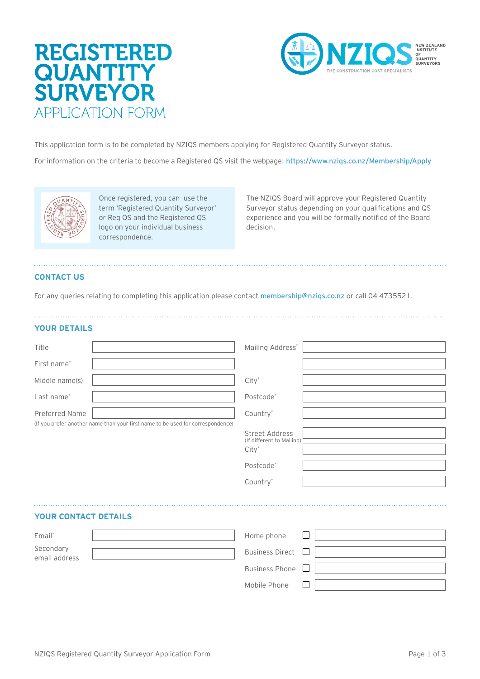# REGISTERED **QUANTITY SURVEYOR** APPLICATION FORM



This application form is to be completed by NZIQS members applying for Registered Quantity Surveyor status.

For information on the criteria to become a Registered QS visit the webpage: https://www.nziqs.co.nz/Membership/Appl[y](http://www.nzigs.co.nz/Membership/Apply/RegisteredQuantity-Surveyor) 



Once registered, you can use the term 'Registered Quantity Surveyor' or Reg QS and the Registered QS logo on your individual business correspondence.

The NZIQS Board will approve your Registered Quantity Surveyor status depending on your qualifications and QS experience and you will be formally notified of the Board decision.

# **CONTACT US**

For any queries relating to completing this application please contact membership@nzigs.co.nz or call 04 4735521.

# **YOUR DETAILS**

email address

| Title                                                                           | Mailing Address*                                                                 |
|---------------------------------------------------------------------------------|----------------------------------------------------------------------------------|
| First name*                                                                     |                                                                                  |
| Middle name(s)                                                                  | $City^*$                                                                         |
| Last name*                                                                      | Postcode*                                                                        |
| <b>Preferred Name</b>                                                           | Country*                                                                         |
| (If you prefer another name than your first name to be used for correspondence) | Street Address<br>(If different to Mailing)<br>$City^*$<br>Postcode*<br>Country* |
| <b>YOUR CONTACT DETAILS</b>                                                     |                                                                                  |
| Email*                                                                          | Home phone                                                                       |
| Secondary                                                                       | <b>Business Direct</b>                                                           |

Business Phone

Mobile Phone  $\Box$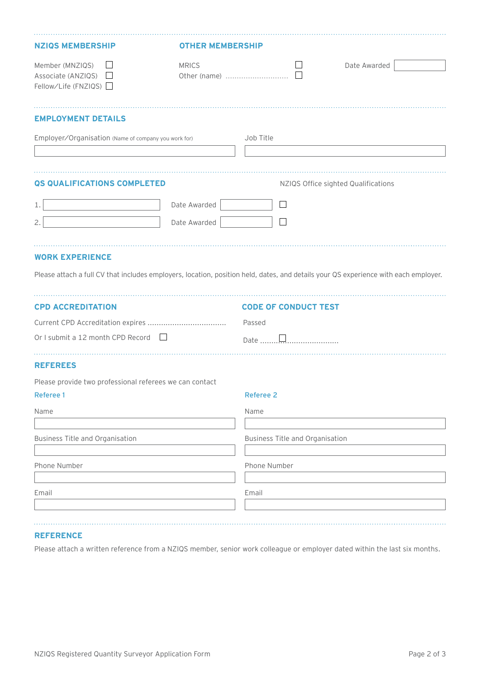| <b>NZIQS MEMBERSHIP</b>                                       | <b>OTHER MEMBERSHIP</b> |                                                                                                                                     |  |
|---------------------------------------------------------------|-------------------------|-------------------------------------------------------------------------------------------------------------------------------------|--|
| Member (MNZIQS)<br>Associate (ANZIQS)<br>Fellow∕Life (FNZIQS) | <b>MRICS</b>            | Date Awarded                                                                                                                        |  |
| <b>EMPLOYMENT DETAILS</b>                                     |                         |                                                                                                                                     |  |
| Employer/Organisation (Name of company you work for)          |                         | Job Title                                                                                                                           |  |
| QS QUALIFICATIONS COMPLETED                                   |                         | NZIQS Office sighted Qualifications                                                                                                 |  |
| 1.                                                            | Date Awarded            | $\overline{\phantom{a}}$                                                                                                            |  |
| 2.                                                            | Date Awarded            | $\Box$                                                                                                                              |  |
| <b>WORK EXPERIENCE</b>                                        |                         | Please attach a full CV that includes employers, location, position held, dates, and details your QS experience with each employer. |  |
| <b>CPD ACCREDITATION</b>                                      |                         | <b>CODE OF CONDUCT TEST</b>                                                                                                         |  |
|                                                               |                         | Passed                                                                                                                              |  |
| Or I submit a 12 month CPD Record $\Box$                      |                         |                                                                                                                                     |  |
| <b>REFEREES</b>                                               |                         |                                                                                                                                     |  |
| Please provide two professional referees we can contact       |                         |                                                                                                                                     |  |
| <b>Referee 1</b>                                              |                         | <b>Referee 2</b>                                                                                                                    |  |
| Name                                                          |                         | Name                                                                                                                                |  |
| Business Title and Organisation                               |                         | <b>Business Title and Organisation</b>                                                                                              |  |
| Phone Number                                                  |                         | Phone Number                                                                                                                        |  |
| Email                                                         |                         | Email                                                                                                                               |  |
|                                                               |                         |                                                                                                                                     |  |

# **REFERENCE**

Please attach a written reference from a NZIQS member, senior work colleague or employer dated within the last six months.